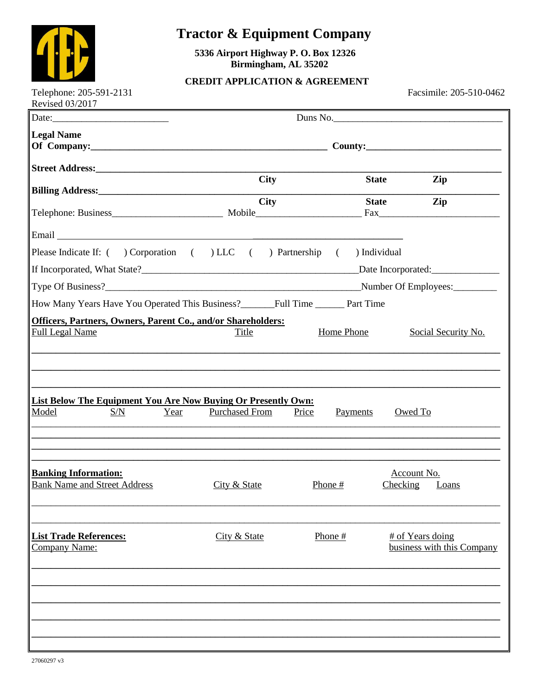

## **Tractor & Equipment Company**

5336 Airport Highway P.O. Box 12326 Birmingham, AL 35202

## **CREDIT APPLICATION & AGREEMENT**

Facsimile: 205-510-0462

| <b>Legal Name</b><br><b>City</b><br><b>State</b><br>Zip<br><b>City</b><br><b>State</b><br>Zip<br>Please Indicate If: ( ) Corporation ( ) LLC ( ) Partnership<br>) Individual<br>$\left($<br>Number Of Employees:<br>Officers, Partners, Owners, Parent Co., and/or Shareholders:<br><b>Full Legal Name</b><br>Home Phone<br>Social Security No.<br>Title<br>List Below The Equipment You Are Now Buying Or Presently Own:<br><b>Purchased From</b><br>Model<br>S/N<br>Price<br>Payments<br>Owed To<br>Year<br><b>Banking Information:</b><br>Account No.<br><b>Bank Name and Street Address</b><br>City & State<br>Phone #<br>Checking<br><b>Loans</b><br><b>List Trade References:</b><br>City & State<br>Phone #<br># of Years doing<br>business with this Company<br>Company Name: | Duns No. |  |  |  |
|---------------------------------------------------------------------------------------------------------------------------------------------------------------------------------------------------------------------------------------------------------------------------------------------------------------------------------------------------------------------------------------------------------------------------------------------------------------------------------------------------------------------------------------------------------------------------------------------------------------------------------------------------------------------------------------------------------------------------------------------------------------------------------------|----------|--|--|--|
|                                                                                                                                                                                                                                                                                                                                                                                                                                                                                                                                                                                                                                                                                                                                                                                       |          |  |  |  |
|                                                                                                                                                                                                                                                                                                                                                                                                                                                                                                                                                                                                                                                                                                                                                                                       |          |  |  |  |
|                                                                                                                                                                                                                                                                                                                                                                                                                                                                                                                                                                                                                                                                                                                                                                                       |          |  |  |  |
|                                                                                                                                                                                                                                                                                                                                                                                                                                                                                                                                                                                                                                                                                                                                                                                       |          |  |  |  |
|                                                                                                                                                                                                                                                                                                                                                                                                                                                                                                                                                                                                                                                                                                                                                                                       |          |  |  |  |
|                                                                                                                                                                                                                                                                                                                                                                                                                                                                                                                                                                                                                                                                                                                                                                                       |          |  |  |  |
|                                                                                                                                                                                                                                                                                                                                                                                                                                                                                                                                                                                                                                                                                                                                                                                       |          |  |  |  |
|                                                                                                                                                                                                                                                                                                                                                                                                                                                                                                                                                                                                                                                                                                                                                                                       |          |  |  |  |
|                                                                                                                                                                                                                                                                                                                                                                                                                                                                                                                                                                                                                                                                                                                                                                                       |          |  |  |  |
|                                                                                                                                                                                                                                                                                                                                                                                                                                                                                                                                                                                                                                                                                                                                                                                       |          |  |  |  |
|                                                                                                                                                                                                                                                                                                                                                                                                                                                                                                                                                                                                                                                                                                                                                                                       |          |  |  |  |
|                                                                                                                                                                                                                                                                                                                                                                                                                                                                                                                                                                                                                                                                                                                                                                                       |          |  |  |  |
|                                                                                                                                                                                                                                                                                                                                                                                                                                                                                                                                                                                                                                                                                                                                                                                       |          |  |  |  |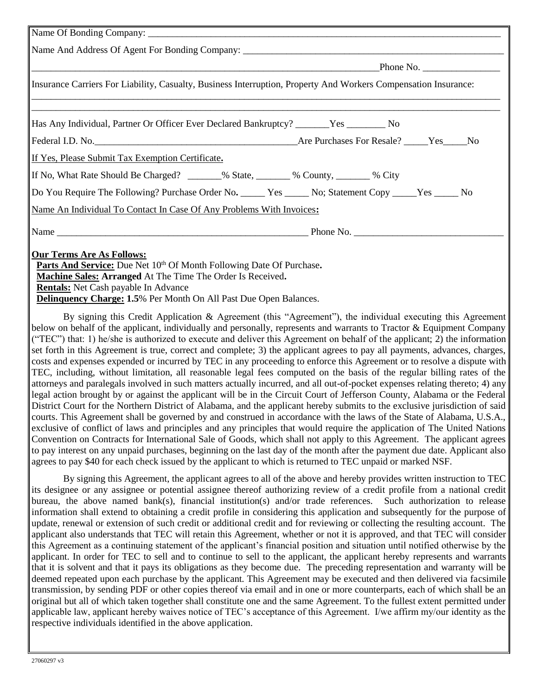| Insurance Carriers For Liability, Casualty, Business Interruption, Property And Workers Compensation Insurance:                                                                                                       |  |  |  |
|-----------------------------------------------------------------------------------------------------------------------------------------------------------------------------------------------------------------------|--|--|--|
| Has Any Individual, Partner Or Officer Ever Declared Bankruptcy? _______Yes ___________ No                                                                                                                            |  |  |  |
|                                                                                                                                                                                                                       |  |  |  |
| If Yes, Please Submit Tax Exemption Certificate.                                                                                                                                                                      |  |  |  |
| If No, What Rate Should Be Charged? _______% State, _______% County, _______% City                                                                                                                                    |  |  |  |
| Do You Require The Following? Purchase Order No. _____ Yes _____ No; Statement Copy _____Yes _____ No                                                                                                                 |  |  |  |
| Name An Individual To Contact In Case Of Any Problems With Invoices:                                                                                                                                                  |  |  |  |
|                                                                                                                                                                                                                       |  |  |  |
| <b>Our Terms Are As Follows:</b><br>Parts And Service: Due Net 10th Of Month Following Date Of Purchase.<br>Machine Sales: Arranged At The Time The Order Is Received.<br><b>Rentals:</b> Net Cash payable In Advance |  |  |  |
| <b>Delinquency Charge: 1.5%</b> Per Month On All Past Due Open Balances.                                                                                                                                              |  |  |  |

By signing this Credit Application & Agreement (this "Agreement"), the individual executing this Agreement below on behalf of the applicant, individually and personally, represents and warrants to Tractor & Equipment Company ("TEC") that: 1) he/she is authorized to execute and deliver this Agreement on behalf of the applicant; 2) the information set forth in this Agreement is true, correct and complete; 3) the applicant agrees to pay all payments, advances, charges, costs and expenses expended or incurred by TEC in any proceeding to enforce this Agreement or to resolve a dispute with TEC, including, without limitation, all reasonable legal fees computed on the basis of the regular billing rates of the attorneys and paralegals involved in such matters actually incurred, and all out-of-pocket expenses relating thereto; 4) any legal action brought by or against the applicant will be in the Circuit Court of Jefferson County, Alabama or the Federal District Court for the Northern District of Alabama, and the applicant hereby submits to the exclusive jurisdiction of said courts. This Agreement shall be governed by and construed in accordance with the laws of the State of Alabama, U.S.A., exclusive of conflict of laws and principles and any principles that would require the application of The United Nations Convention on Contracts for International Sale of Goods, which shall not apply to this Agreement. The applicant agrees to pay interest on any unpaid purchases, beginning on the last day of the month after the payment due date. Applicant also agrees to pay \$40 for each check issued by the applicant to which is returned to TEC unpaid or marked NSF.

By signing this Agreement, the applicant agrees to all of the above and hereby provides written instruction to TEC its designee or any assignee or potential assignee thereof authorizing review of a credit profile from a national credit bureau, the above named bank(s), financial institution(s) and/or trade references. Such authorization to release information shall extend to obtaining a credit profile in considering this application and subsequently for the purpose of update, renewal or extension of such credit or additional credit and for reviewing or collecting the resulting account. The applicant also understands that TEC will retain this Agreement, whether or not it is approved, and that TEC will consider this Agreement as a continuing statement of the applicant's financial position and situation until notified otherwise by the applicant. In order for TEC to sell and to continue to sell to the applicant, the applicant hereby represents and warrants that it is solvent and that it pays its obligations as they become due. The preceding representation and warranty will be deemed repeated upon each purchase by the applicant. This Agreement may be executed and then delivered via facsimile transmission, by sending PDF or other copies thereof via email and in one or more counterparts, each of which shall be an original but all of which taken together shall constitute one and the same Agreement. To the fullest extent permitted under applicable law, applicant hereby waives notice of TEC's acceptance of this Agreement. I/we affirm my/our identity as the respective individuals identified in the above application.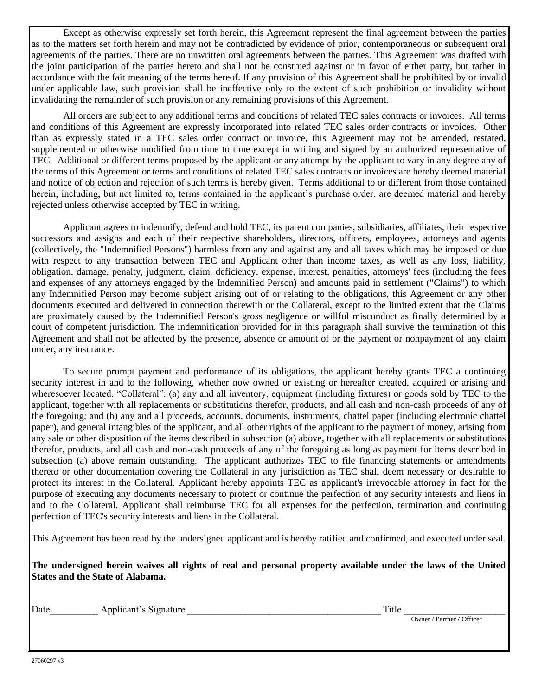Except as otherwise expressly set forth herein, this Agreement represent the final agreement between the parties as to the matters set forth herein and may not be contradicted by evidence of prior, contemporaneous or subsequent oral agreements of the parties. There are no unwritten oral agreements between the parties. This Agreement was drafted with the joint participation of the parties hereto and shall not be construed against or in favor of either party, but rather in accordance with the fair meaning of the terms hereof. If any provision of this Agreement shall be prohibited by or invalid under applicable law, such provision shall be ineffective only to the extent of such prohibition or invalidity without invalidating the remainder of such provision or any remaining provisions of this Agreement.

All orders are subject to any additional terms and conditions of related TEC sales contracts or invoices. All terms and conditions of this Agreement are expressly incorporated into related TEC sales order contracts or invoices. Other than as expressly stated in a TEC sales order contract or invoice, this Agreement may not be amended, restated, supplemented or otherwise modified from time to time except in writing and signed by an authorized representative of TEC. Additional or different terms proposed by the applicant or any attempt by the applicant to vary in any degree any of the terms of this Agreement or terms and conditions of related TEC sales contracts or invoices are hereby deemed material and notice of objection and rejection of such terms is hereby given. Terms additional to or different from those contained herein, including, but not limited to, terms contained in the applicant's purchase order, are deemed material and hereby rejected unless otherwise accepted by TEC in writing.

Applicant agrees to indemnify, defend and hold TEC, its parent companies, subsidiaries, affiliates, their respective successors and assigns and each of their respective shareholders, directors, officers, employees, attorneys and agents (collectively, the "Indemnified Persons") harmless from any and against any and all taxes which may be imposed or due with respect to any transaction between TEC and Applicant other than income taxes, as well as any loss, liability, obligation, damage, penalty, judgment, claim, deficiency, expense, interest, penalties, attorneys' fees (including the fees and expenses of any attorneys engaged by the Indemnified Person) and amounts paid in settlement ("Claims") to which any Indemnified Person may become subject arising out of or relating to the obligations, this Agreement or any other documents executed and delivered in connection therewith or the Collateral, except to the limited extent that the Claims are proximately caused by the Indemnified Person's gross negligence or willful misconduct as finally determined by a court of competent jurisdiction. The indemnification provided for in this paragraph shall survive the termination of this Agreement and shall not be affected by the presence, absence or amount of or the payment or nonpayment of any claim under, any insurance.

To secure prompt payment and performance of its obligations, the applicant hereby grants TEC a continuing security interest in and to the following, whether now owned or existing or hereafter created, acquired or arising and wheresoever located, "Collateral": (a) any and all inventory, equipment (including fixtures) or goods sold by TEC to the applicant, together with all replacements or substitutions therefor, products, and all cash and non-cash proceeds of any of the foregoing; and (b) any and all proceeds, accounts, documents, instruments, chattel paper (including electronic chattel paper), and general intangibles of the applicant, and all other rights of the applicant to the payment of money, arising from any sale or other disposition of the items described in subsection (a) above, together with all replacements or substitutions therefor, products, and all cash and non-cash proceeds of any of the foregoing as long as payment for items described in subsection (a) above remain outstanding. The applicant authorizes TEC to file financing statements or amendments thereto or other documentation covering the Collateral in any jurisdiction as TEC shall deem necessary or desirable to protect its interest in the Collateral. Applicant hereby appoints TEC as applicant's irrevocable attorney in fact for the purpose of executing any documents necessary to protect or continue the perfection of any security interests and liens in and to the Collateral. Applicant shall reimburse TEC for all expenses for the perfection, termination and continuing perfection of TEC's security interests and liens in the Collateral.

This Agreement has been read by the undersigned applicant and is hereby ratified and confirmed, and executed under seal.

**The undersigned herein waives all rights of real and personal property available under the laws of the United States and the State of Alabama.**

Date Applicant's Signature **Applicant**'s Signature **Title Title Title** 

Owner / Partner / Officer